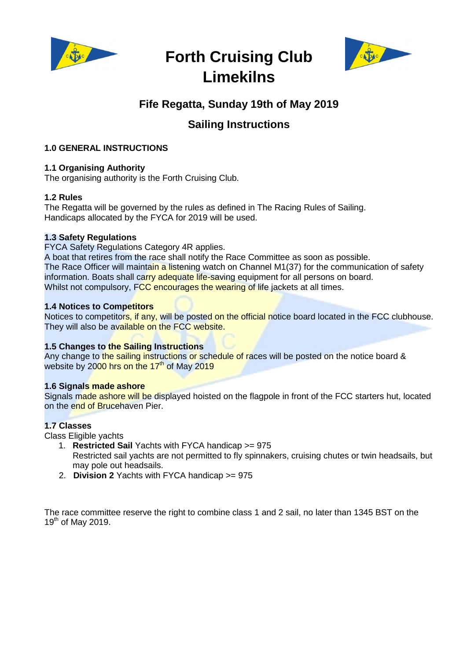

# **Forth Cruising Club Limekilns**



# **Fife Regatta, Sunday 19th of May 2019**

# **Sailing Instructions**

# **1.0 GENERAL INSTRUCTIONS**

# **1.1 Organising Authority**

The organising authority is the Forth Cruising Club.

# **1.2 Rules**

The Regatta will be governed by the rules as defined in The Racing Rules of Sailing. Handicaps allocated by the FYCA for 2019 will be used.

# **1.3 Safety Regulations**

FYCA Safety Regulations Category 4R applies.

A boat that retires from the race shall notify the Race Committee as soon as possible. The Race Officer will maintain a listening watch on Channel M1(37) for the communication of safety information. Boats shall carry adequate life-saving equipment for all persons on board. Whilst not compulsory, FCC encourages the wearing of life jackets at all times.

# **1.4 Notices to Competitors**

Notices to competitors, if any, will be posted on the official notice board located in the FCC clubhouse. They will also be available on the FCC website.

# **1.5 Changes to the Sailing Instructions**

Any change to the sailing instructions or schedule of races will be posted on the notice board & website by 2000 hrs on the  $17<sup>th</sup>$  of May 2019

#### **1.6 Signals made ashore**

Signals made ashore will be displayed hoisted on the flagpole in front of the FCC starters hut, located on the end of Brucehaven Pier.

#### **1.7 Classes**

Class Eligible yachts

- 1. **Restricted Sail** Yachts with FYCA handicap >= 975 Restricted sail yachts are not permitted to fly spinnakers, cruising chutes or twin headsails, but may pole out headsails.
- 2. **Division 2** Yachts with FYCA handicap >= 975

The race committee reserve the right to combine class 1 and 2 sail, no later than 1345 BST on the  $19<sup>th</sup>$  of May 2019.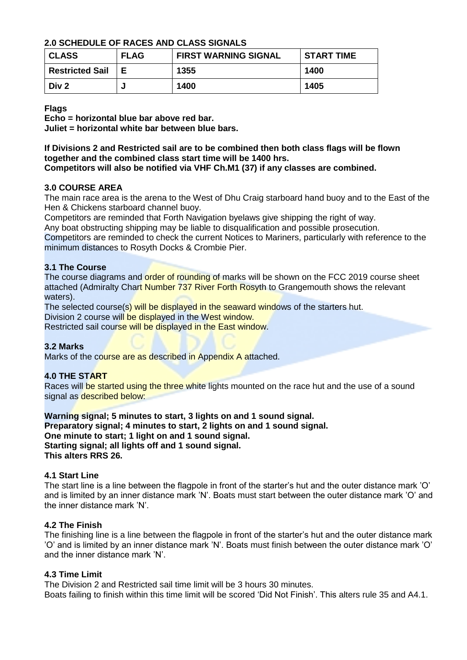# **2.0 SCHEDULE OF RACES AND CLASS SIGNALS**

| <b>CLASS</b>           | <b>FLAG</b> | <b>FIRST WARNING SIGNAL</b> | <b>START TIME</b> |
|------------------------|-------------|-----------------------------|-------------------|
| <b>Restricted Sail</b> | Е           | 1355                        | 1400              |
| Div <sub>2</sub>       |             | 1400                        | 1405              |

**Flags**

**Echo = horizontal blue bar above red bar.**

**Juliet = horizontal white bar between blue bars.**

#### **If Divisions 2 and Restricted sail are to be combined then both class flags will be flown together and the combined class start time will be 1400 hrs. Competitors will also be notified via VHF Ch.M1 (37) if any classes are combined.**

# **3.0 COURSE AREA**

The main race area is the arena to the West of Dhu Craig starboard hand buoy and to the East of the Hen & Chickens starboard channel buoy.

Competitors are reminded that Forth Navigation byelaws give shipping the right of way.

Any boat obstructing shipping may be liable to disqualification and possible prosecution.

Competitors are reminded to check the current Notices to Mariners, particularly with reference to the minimum distances to Rosyth Docks & Crombie Pier.

# **3.1 The Course**

The course diagrams and order of rounding of marks will be shown on the FCC 2019 course sheet attached (Admiralty Chart Number 737 River Forth Rosyth to Grangemouth shows the relevant waters).

The selected course(s) will be displayed in the seaward windows of the starters hut.

Division 2 course will be displayed in the West window.

Restricted sail course will be displayed in the East window.

# **3.2 Marks**

Marks of the course are as described in Appendix A attached.

# **4.0 THE START**

Races will be started using the three white lights mounted on the race hut and the use of a sound signal as described below:

**Warning signal; 5 minutes to start, 3 lights on and 1 sound signal. Preparatory signal; 4 minutes to start, 2 lights on and 1 sound signal. One minute to start; 1 light on and 1 sound signal. Starting signal; all lights off and 1 sound signal. This alters RRS 26.**

#### **4.1 Start Line**

The start line is a line between the flagpole in front of the starter's hut and the outer distance mark 'O' and is limited by an inner distance mark 'N'. Boats must start between the outer distance mark 'O' and the inner distance mark 'N'.

#### **4.2 The Finish**

The finishing line is a line between the flagpole in front of the starter's hut and the outer distance mark 'O' and is limited by an inner distance mark 'N'. Boats must finish between the outer distance mark 'O' and the inner distance mark 'N'.

#### **4.3 Time Limit**

The Division 2 and Restricted sail time limit will be 3 hours 30 minutes. Boats failing to finish within this time limit will be scored 'Did Not Finish'. This alters rule 35 and A4.1.